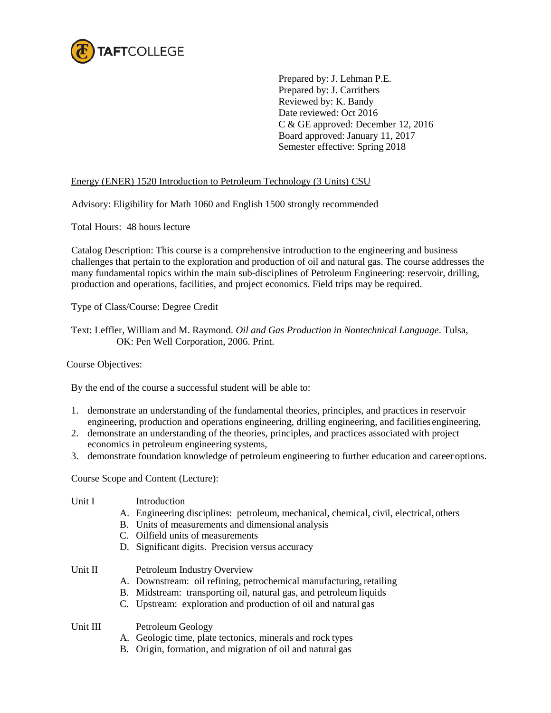

Prepared by: J. Lehman P.E. Prepared by: J. Carrithers Reviewed by: K. Bandy Date reviewed: Oct 2016 C & GE approved: December 12, 2016 Board approved: January 11, 2017 Semester effective: Spring 2018

# Energy (ENER) 1520 Introduction to Petroleum Technology (3 Units) CSU

Advisory: Eligibility for Math 1060 and English 1500 strongly recommended

Total Hours: 48 hours lecture

Catalog Description: This course is a comprehensive introduction to the engineering and business challenges that pertain to the exploration and production of oil and natural gas. The course addresses the many fundamental topics within the main sub-disciplines of Petroleum Engineering: reservoir, drilling, production and operations, facilities, and project economics. Field trips may be required.

Type of Class/Course: Degree Credit

Text: Leffler, William and M. Raymond. *Oil and Gas Production in Nontechnical Language*. Tulsa, OK: Pen Well Corporation, 2006. Print.

## Course Objectives:

By the end of the course a successful student will be able to:

- 1. demonstrate an understanding of the fundamental theories, principles, and practices in reservoir engineering, production and operations engineering, drilling engineering, and facilities engineering,
- 2. demonstrate an understanding of the theories, principles, and practices associated with project economics in petroleum engineering systems,
- 3. demonstrate foundation knowledge of petroleum engineering to further education and career options.

Course Scope and Content (Lecture):

## Unit I Introduction

- A. Engineering disciplines: petroleum, mechanical, chemical, civil, electrical, others
- B. Units of measurements and dimensional analysis
- C. Oilfield units of measurements
- D. Significant digits. Precision versus accuracy

- Unit II Petroleum Industry Overview
	- A. Downstream: oil refining, petrochemical manufacturing, retailing
	- B. Midstream: transporting oil, natural gas, and petroleum liquids
	- C. Upstream: exploration and production of oil and natural gas

Unit III Petroleum Geology

- A. Geologic time, plate tectonics, minerals and rock types
- B. Origin, formation, and migration of oil and natural gas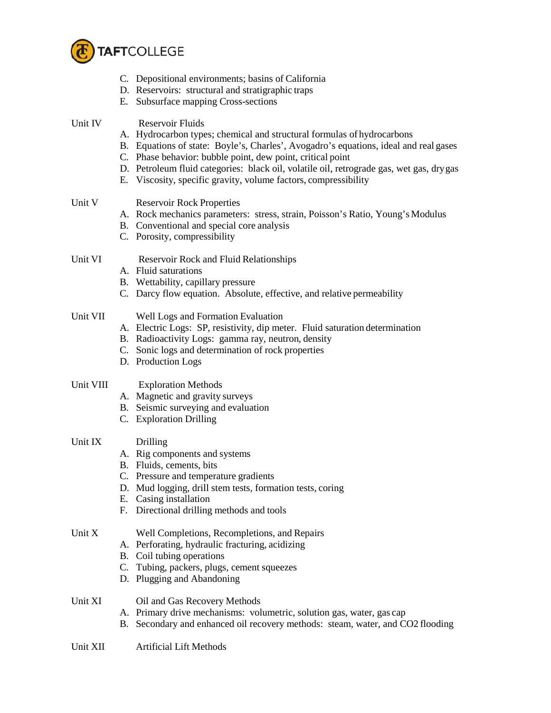

- C. Depositional environments; basins of California
- D. Reservoirs: structural and stratigraphic traps
- E. Subsurface mapping Cross-sections

# Unit IV Reservoir Fluids

- A. Hydrocarbon types; chemical and structural formulas of hydrocarbons
- B. Equations of state: Boyle's, Charles', Avogadro's equations, ideal and real gases
- C. Phase behavior: bubble point, dew point, critical point
- D. Petroleum fluid categories: black oil, volatile oil, retrograde gas, wet gas, drygas
- E. Viscosity, specific gravity, volume factors, compressibility

# Unit V Reservoir Rock Properties

- A. Rock mechanics parameters: stress, strain, Poisson's Ratio, Young's Modulus
- B. Conventional and special core analysis
- C. Porosity, compressibility

#### Unit VI Reservoir Rock and Fluid Relationships

- A. Fluid saturations
- B. Wettability, capillary pressure
- C. Darcy flow equation. Absolute, effective, and relative permeability

## Unit VII Well Logs and Formation Evaluation

- A. Electric Logs: SP, resistivity, dip meter. Fluid saturation determination
- B. Radioactivity Logs: gamma ray, neutron, density
- C. Sonic logs and determination of rock properties
- D. Production Logs

## Unit VIII Exploration Methods

- A. Magnetic and gravity surveys
- B. Seismic surveying and evaluation
- C. Exploration Drilling

#### Unit IX Drilling

- A. Rig components and systems
- B. Fluids, cements, bits
- C. Pressure and temperature gradients
- D. Mud logging, drill stem tests, formation tests, coring
- E. Casing installation
- F. Directional drilling methods and tools

## Unit X Well Completions, Recompletions, and Repairs

- A. Perforating, hydraulic fracturing, acidizing
- B. Coil tubing operations
- C. Tubing, packers, plugs, cement squeezes
- D. Plugging and Abandoning

## Unit XI Oil and Gas Recovery Methods

- A. Primary drive mechanisms: volumetric, solution gas, water, gas cap
- B. Secondary and enhanced oil recovery methods: steam, water, and CO2 flooding

#### Unit XII Artificial Lift Methods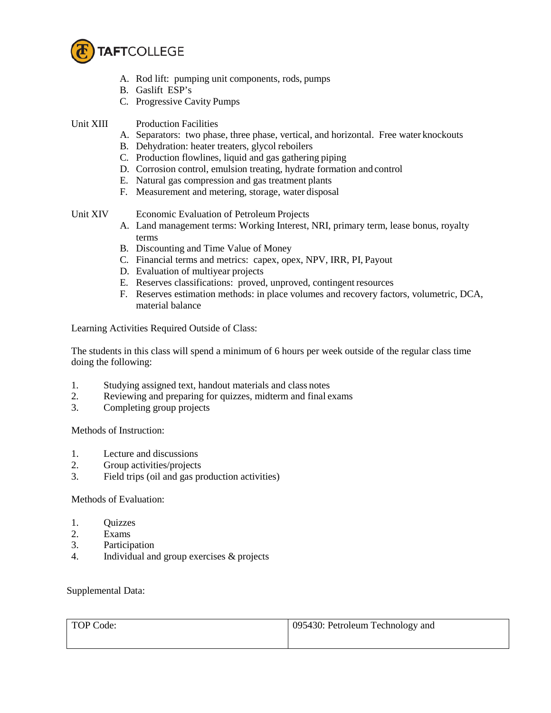

- A. Rod lift: pumping unit components, rods, pumps
- B. Gaslift ESP's
- C. Progressive Cavity Pumps
- Unit XIII Production Facilities
	- A. Separators: two phase, three phase, vertical, and horizontal. Free water knockouts
	- B. Dehydration: heater treaters, glycol reboilers
	- C. Production flowlines, liquid and gas gathering piping
	- D. Corrosion control, emulsion treating, hydrate formation and control
	- E. Natural gas compression and gas treatment plants
	- F. Measurement and metering, storage, water disposal

- Unit XIV Economic Evaluation of Petroleum Projects
	- A. Land management terms: Working Interest, NRI, primary term, lease bonus, royalty terms
	- B. Discounting and Time Value of Money
	- C. Financial terms and metrics: capex, opex, NPV, IRR, PI, Payout
	- D. Evaluation of multiyear projects
	- E. Reserves classifications: proved, unproved, contingent resources
	- F. Reserves estimation methods: in place volumes and recovery factors, volumetric, DCA, material balance

Learning Activities Required Outside of Class:

The students in this class will spend a minimum of 6 hours per week outside of the regular class time doing the following:

- 1. Studying assigned text, handout materials and class notes
- 2. Reviewing and preparing for quizzes, midterm and final exams
- 3. Completing group projects

Methods of Instruction:

- 1. Lecture and discussions
- 2. Group activities/projects
- 3. Field trips (oil and gas production activities)

Methods of Evaluation:

- 1. Quizzes
- 2. Exams
- 3. Participation
- 4. Individual and group exercises & projects

Supplemental Data:

| TOP Code: | 095430: Petroleum Technology and |
|-----------|----------------------------------|
|           |                                  |